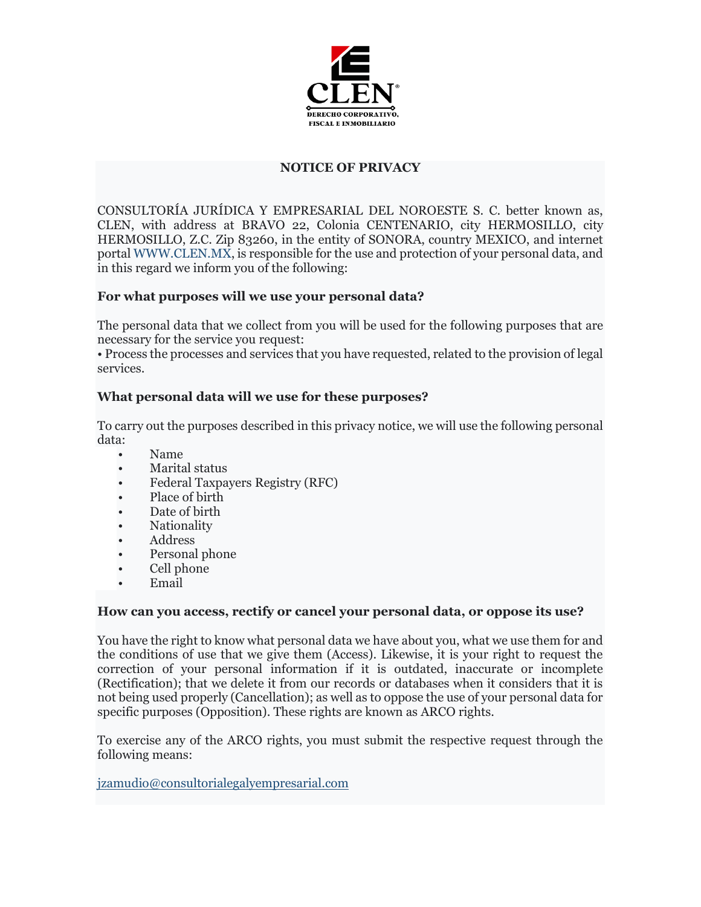

## **NOTICE OF PRIVACY**

CONSULTORÍA JURÍDICA Y EMPRESARIAL DEL NOROESTE S. C. better known as, CLEN, with address at BRAVO 22, Colonia CENTENARIO, city HERMOSILLO, city HERMOSILLO, Z.C. Zip 83260, in the entity of SONORA, country MEXICO, and internet portal WWW.CLEN.MX, is responsible for the use and protection of your personal data, and in this regard we inform you of the following:

## **For what purposes will we use your personal data?**

The personal data that we collect from you will be used for the following purposes that are necessary for the service you request:

• Process the processes and services that you have requested, related to the provision of legal services.

## **What personal data will we use for these purposes?**

To carry out the purposes described in this privacy notice, we will use the following personal data:

- Name
- Marital status
- Federal Taxpayers Registry (RFC)
- Place of birth
- Date of birth
- Nationality
- Address
- Personal phone
- Cell phone
- Email

#### **How can you access, rectify or cancel your personal data, or oppose its use?**

You have the right to know what personal data we have about you, what we use them for and the conditions of use that we give them (Access). Likewise, it is your right to request the correction of your personal information if it is outdated, inaccurate or incomplete (Rectification); that we delete it from our records or databases when it considers that it is not being used properly (Cancellation); as well as to oppose the use of your personal data for specific purposes (Opposition). These rights are known as ARCO rights.

To exercise any of the ARCO rights, you must submit the respective request through the following means:

[jzamudio@consultorialegalyempresarial.com](mailto:jzamudio@consultorialegalyempresarial.com)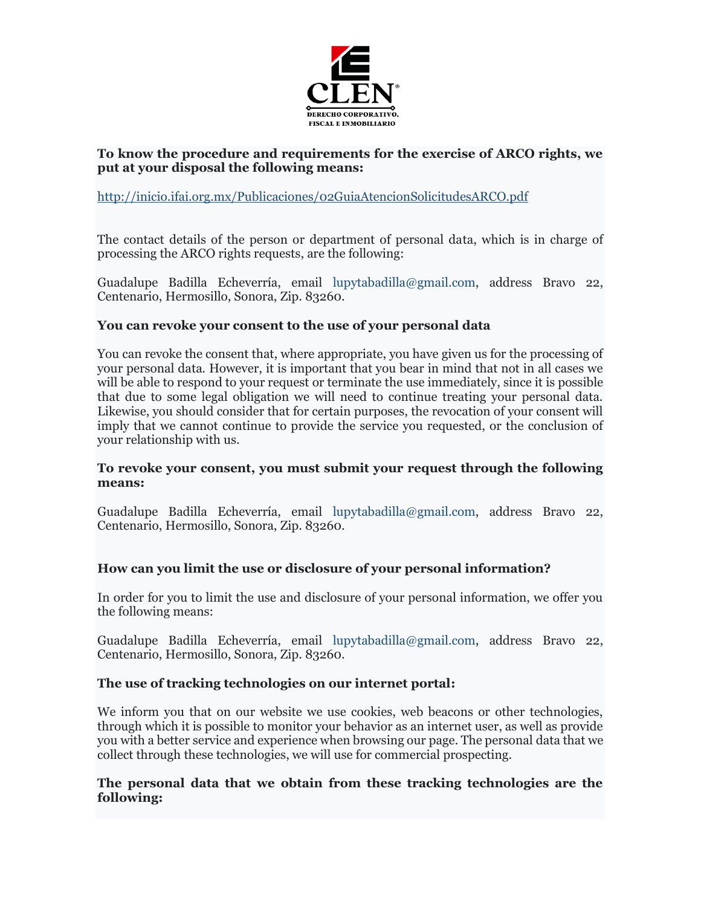

### **To know the procedure and requirements for the exercise of ARCO rights, we put at your disposal the following means:**

### <http://inicio.ifai.org.mx/Publicaciones/02GuiaAtencionSolicitudesARCO.pdf>

The contact details of the person or department of personal data, which is in charge of processing the ARCO rights requests, are the following:

Guadalupe Badilla Echeverría, email lupytabadilla@gmail.com, address Bravo 22, Centenario, Hermosillo, Sonora, Zip. 83260.

#### **You can revoke your consent to the use of your personal data**

You can revoke the consent that, where appropriate, you have given us for the processing of your personal data. However, it is important that you bear in mind that not in all cases we will be able to respond to your request or terminate the use immediately, since it is possible that due to some legal obligation we will need to continue treating your personal data. Likewise, you should consider that for certain purposes, the revocation of your consent will imply that we cannot continue to provide the service you requested, or the conclusion of your relationship with us.

#### **To revoke your consent, you must submit your request through the following means:**

Guadalupe Badilla Echeverría, email lupytabadilla@gmail.com, address Bravo 22, Centenario, Hermosillo, Sonora, Zip. 83260.

#### **How can you limit the use or disclosure of your personal information?**

In order for you to limit the use and disclosure of your personal information, we offer you the following means:

Guadalupe Badilla Echeverría, email lupytabadilla@gmail.com, address Bravo 22, Centenario, Hermosillo, Sonora, Zip. 83260.

#### **The use of tracking technologies on our internet portal:**

We inform you that on our website we use cookies, web beacons or other technologies, through which it is possible to monitor your behavior as an internet user, as well as provide you with a better service and experience when browsing our page. The personal data that we collect through these technologies, we will use for commercial prospecting.

#### **The personal data that we obtain from these tracking technologies are the following:**